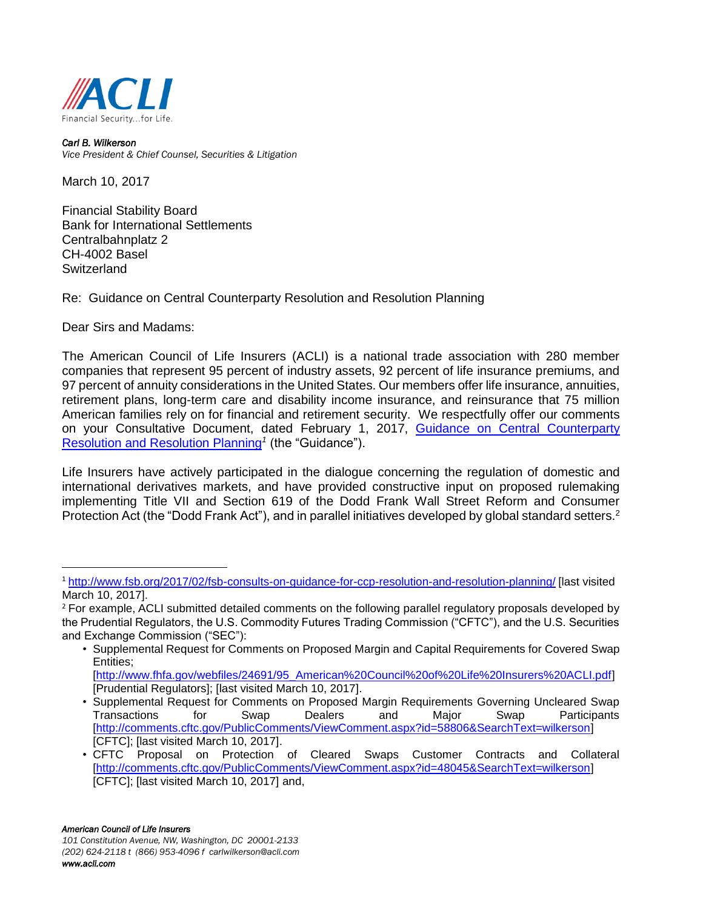

*Carl B. Wilkerson Vice President & Chief Counsel, Securities & Litigation*

March 10, 2017

Financial Stability Board Bank for International Settlements Centralbahnplatz 2 CH-4002 Basel **Switzerland** 

Re: Guidance on Central Counterparty Resolution and Resolution Planning

Dear Sirs and Madams:

l

The American Council of Life Insurers (ACLI) is a national trade association with 280 member companies that represent 95 percent of industry assets, 92 percent of life insurance premiums, and 97 percent of annuity considerations in the United States. Our members offer life insurance, annuities, retirement plans, long-term care and disability income insurance, and reinsurance that 75 million American families rely on for financial and retirement security. We respectfully offer our comments on your Consultative Document, dated February 1, 2017, [Guidance on Central Counterparty](http://www.fsb.org/2017/02/fsb-consults-on-guidance-for-ccp-resolution-and-resolution-planning/)  [Resolution and Resolution Planning](http://www.fsb.org/2017/02/fsb-consults-on-guidance-for-ccp-resolution-and-resolution-planning/)*<sup>1</sup>* (the "Guidance").

Life Insurers have actively participated in the dialogue concerning the regulation of domestic and international derivatives markets, and have provided constructive input on proposed rulemaking implementing Title VII and Section 619 of the Dodd Frank Wall Street Reform and Consumer Protection Act (the "Dodd Frank Act"), and in parallel initiatives developed by global standard setters.<sup>2</sup>

<sup>1</sup> <http://www.fsb.org/2017/02/fsb-consults-on-guidance-for-ccp-resolution-and-resolution-planning/> [last visited March 10, 2017].

<sup>&</sup>lt;sup>2</sup> For example, ACLI submitted detailed comments on the following parallel regulatory proposals developed by the Prudential Regulators, the U.S. Commodity Futures Trading Commission ("CFTC"), and the U.S. Securities and Exchange Commission ("SEC"):

<sup>•</sup> Supplemental Request for Comments on Proposed Margin and Capital Requirements for Covered Swap Entities; [\[http://www.fhfa.gov/webfiles/24691/95\\_American%20Council%20of%20Life%20Insurers%20ACLI.pdf\]](http://www.fhfa.gov/webfiles/24691/95_American%20Council%20of%20Life%20Insurers%20ACLI.pdf) [Prudential Regulators]; [last visited March 10, 2017].

<sup>•</sup> Supplemental Request for Comments on Proposed Margin Requirements Governing Uncleared Swap Transactions for Swap Dealers and Major Swap Participants [\[http://comments.cftc.gov/PublicComments/ViewComment.aspx?id=58806&SearchText=wilkerson\]](http://comments.cftc.gov/PublicComments/ViewComment.aspx?id=58806&SearchText=wilkerson) [CFTC]; [last visited March 10, 2017].

<sup>•</sup> CFTC Proposal on Protection of Cleared Swaps Customer Contracts and Collateral [\[http://comments.cftc.gov/PublicComments/ViewComment.aspx?id=48045&SearchText=wilkerson\]](http://comments.cftc.gov/PublicComments/ViewComment.aspx?id=48045&SearchText=wilkerson) [CFTC]; [last visited March 10, 2017] and,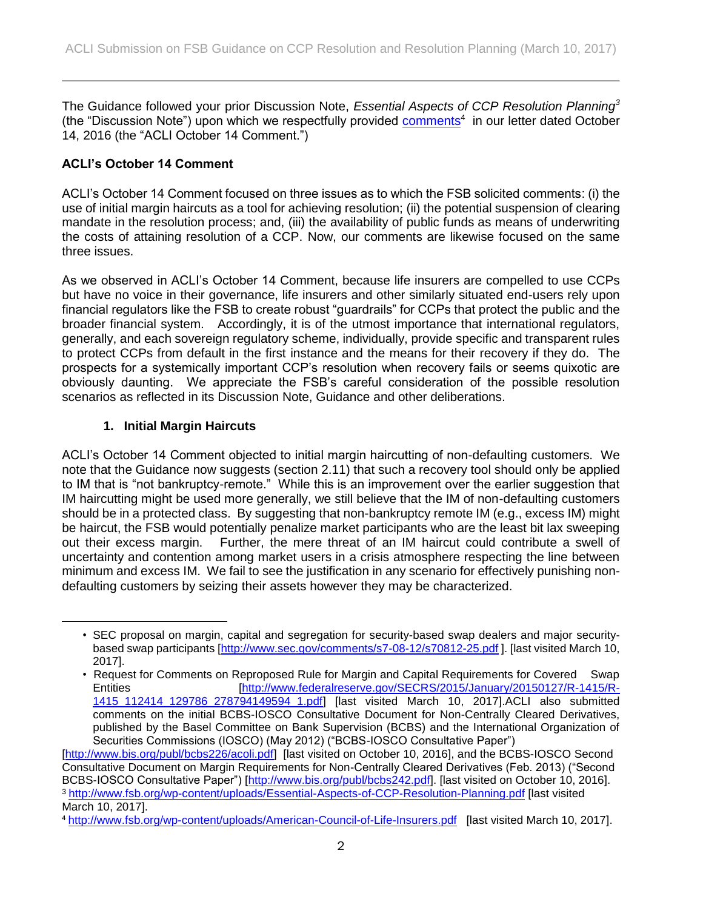The Guidance followed your prior Discussion Note, *Essential Aspects of CCP Resolution Planning<sup>3</sup>* (the "Discussion Note") upon which we respectfully provided [comments](http://www.fsb.org/wp-content/uploads/American-Council-of-Life-Insurers.pdf)<sup>4</sup> in our letter dated October 14, 2016 (the "ACLI October 14 Comment.")

# **ACLI's October 14 Comment**

ACLI's October 14 Comment focused on three issues as to which the FSB solicited comments: (i) the use of initial margin haircuts as a tool for achieving resolution; (ii) the potential suspension of clearing mandate in the resolution process; and, (iii) the availability of public funds as means of underwriting the costs of attaining resolution of a CCP. Now, our comments are likewise focused on the same three issues.

As we observed in ACLI's October 14 Comment, because life insurers are compelled to use CCPs but have no voice in their governance, life insurers and other similarly situated end-users rely upon financial regulators like the FSB to create robust "guardrails" for CCPs that protect the public and the broader financial system. Accordingly, it is of the utmost importance that international regulators, generally, and each sovereign regulatory scheme, individually, provide specific and transparent rules to protect CCPs from default in the first instance and the means for their recovery if they do. The prospects for a systemically important CCP's resolution when recovery fails or seems quixotic are obviously daunting. We appreciate the FSB's careful consideration of the possible resolution scenarios as reflected in its Discussion Note, Guidance and other deliberations.

### **1. Initial Margin Haircuts**

l

ACLI's October 14 Comment objected to initial margin haircutting of non-defaulting customers. We note that the Guidance now suggests (section 2.11) that such a recovery tool should only be applied to IM that is "not bankruptcy-remote." While this is an improvement over the earlier suggestion that IM haircutting might be used more generally, we still believe that the IM of non-defaulting customers should be in a protected class. By suggesting that non-bankruptcy remote IM (e.g., excess IM) might be haircut, the FSB would potentially penalize market participants who are the least bit lax sweeping out their excess margin. Further, the mere threat of an IM haircut could contribute a swell of uncertainty and contention among market users in a crisis atmosphere respecting the line between minimum and excess IM. We fail to see the justification in any scenario for effectively punishing nondefaulting customers by seizing their assets however they may be characterized.

<sup>•</sup> SEC proposal on margin, capital and segregation for security-based swap dealers and major securitybased swap participants [\[http://www.sec.gov/comments/s7-08-12/s70812-25.pdf](http://www.sec.gov/comments/s7-08-12/s70812-25.pdf) ]. [last visited March 10, 2017].

<sup>•</sup> Request for Comments on Reproposed Rule for Margin and Capital Requirements for Covered Swap Entities [\[http://www.federalreserve.gov/SECRS/2015/January/20150127/R-1415/R-](http://www.federalreserve.gov/SECRS/2015/January/20150127/R-1415/R-1415_112414_129786_278794149594_1.pdf)[1415\\_112414\\_129786\\_278794149594\\_1.pdf\]](http://www.federalreserve.gov/SECRS/2015/January/20150127/R-1415/R-1415_112414_129786_278794149594_1.pdf) [last visited March 10, 2017].ACLI also submitted comments on the initial BCBS-IOSCO Consultative Document for Non-Centrally Cleared Derivatives, published by the Basel Committee on Bank Supervision (BCBS) and the International Organization of Securities Commissions (IOSCO) (May 2012) ("BCBS-IOSCO Consultative Paper")

[<sup>\[</sup>http://www.bis.org/publ/bcbs226/acoli.pdf\]](http://www.bis.org/publ/bcbs226/acoli.pdf) [last visited on October 10, 2016], and the BCBS-IOSCO Second Consultative Document on Margin Requirements for Non-Centrally Cleared Derivatives (Feb. 2013) ("Second BCBS-IOSCO Consultative Paper") [\[http://www.bis.org/publ/bcbs242.pdf\]](http://www.bis.org/publ/bcbs242.pdf). [last visited on October 10, 2016]. <sup>3</sup> <http://www.fsb.org/wp-content/uploads/Essential-Aspects-of-CCP-Resolution-Planning.pdf> [last visited March 10, 2017].

<sup>4</sup> <http://www.fsb.org/wp-content/uploads/American-Council-of-Life-Insurers.pdf> [last visited March 10, 2017].